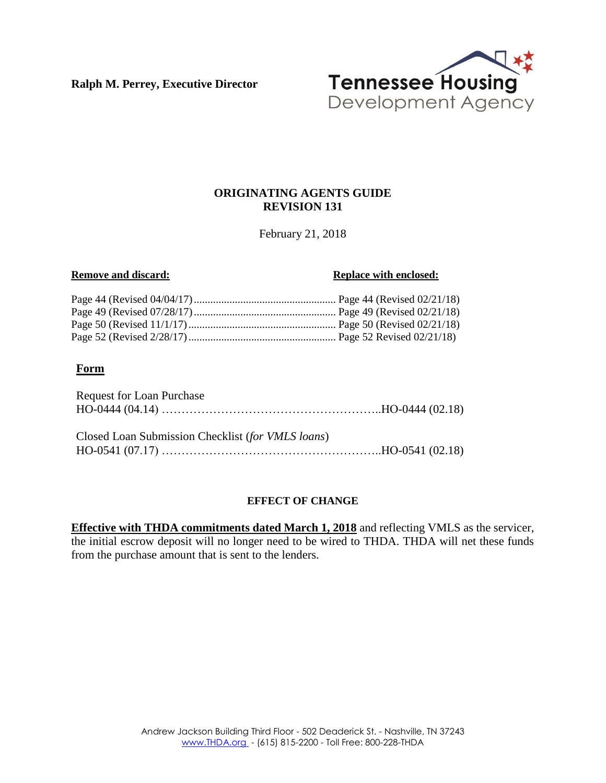**Ralph M. Perrey, Executive Director**



## **ORIGINATING AGENTS GUIDE REVISION 131**

February 21, 2018

#### **Remove and discard: Replace with enclosed: Replace with enclosed:**

## **Form**

| Request for Loan Purchase                                                           |  |
|-------------------------------------------------------------------------------------|--|
| Closed Loan Submission Checklist (for VMLS loans)<br>$HO-0541 (07.17) \dots 100.18$ |  |

#### **EFFECT OF CHANGE**

**Effective with THDA commitments dated March 1, 2018** and reflecting VMLS as the servicer, the initial escrow deposit will no longer need to be wired to THDA. THDA will net these funds from the purchase amount that is sent to the lenders.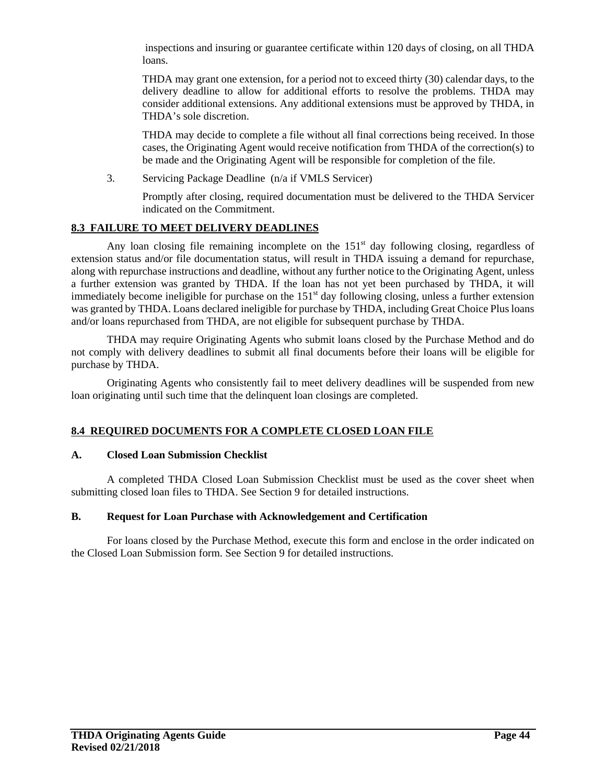inspections and insuring or guarantee certificate within 120 days of closing, on all THDA loans.

THDA may grant one extension, for a period not to exceed thirty (30) calendar days, to the delivery deadline to allow for additional efforts to resolve the problems. THDA may consider additional extensions. Any additional extensions must be approved by THDA, in THDA's sole discretion.

THDA may decide to complete a file without all final corrections being received. In those cases, the Originating Agent would receive notification from THDA of the correction(s) to be made and the Originating Agent will be responsible for completion of the file.

3. Servicing Package Deadline (n/a if VMLS Servicer)

Promptly after closing, required documentation must be delivered to the THDA Servicer indicated on the Commitment.

## **8.3 FAILURE TO MEET DELIVERY DEADLINES**

Any loan closing file remaining incomplete on the  $151<sup>st</sup>$  day following closing, regardless of extension status and/or file documentation status, will result in THDA issuing a demand for repurchase, along with repurchase instructions and deadline, without any further notice to the Originating Agent, unless a further extension was granted by THDA. If the loan has not yet been purchased by THDA, it will immediately become ineligible for purchase on the  $151<sup>st</sup>$  day following closing, unless a further extension was granted by THDA. Loans declared ineligible for purchase by THDA, including Great Choice Plus loans and/or loans repurchased from THDA, are not eligible for subsequent purchase by THDA.

THDA may require Originating Agents who submit loans closed by the Purchase Method and do not comply with delivery deadlines to submit all final documents before their loans will be eligible for purchase by THDA.

Originating Agents who consistently fail to meet delivery deadlines will be suspended from new loan originating until such time that the delinquent loan closings are completed.

## **8.4 REQUIRED DOCUMENTS FOR A COMPLETE CLOSED LOAN FILE**

## **A. Closed Loan Submission Checklist**

A completed THDA Closed Loan Submission Checklist must be used as the cover sheet when submitting closed loan files to THDA. See Section 9 for detailed instructions.

## **B. Request for Loan Purchase with Acknowledgement and Certification**

For loans closed by the Purchase Method, execute this form and enclose in the order indicated on the Closed Loan Submission form. See Section 9 for detailed instructions.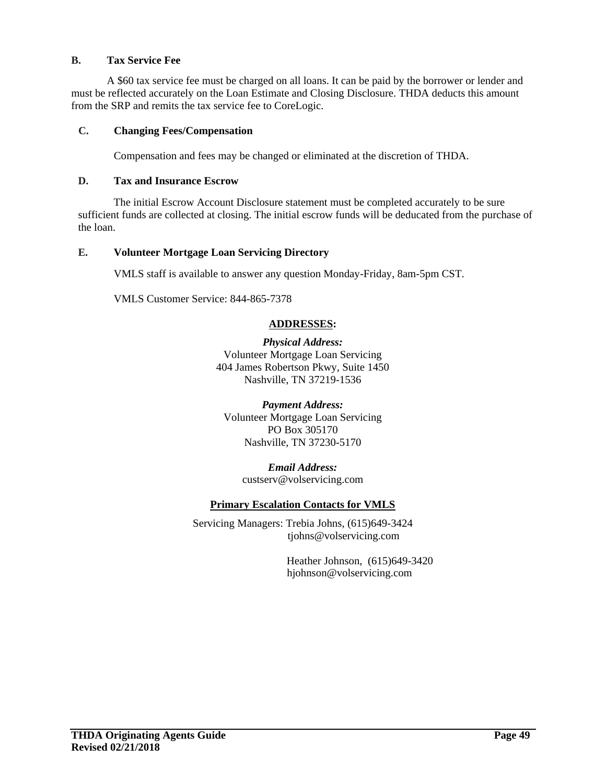#### **B. Tax Service Fee**

A \$60 tax service fee must be charged on all loans. It can be paid by the borrower or lender and must be reflected accurately on the Loan Estimate and Closing Disclosure. THDA deducts this amount from the SRP and remits the tax service fee to CoreLogic.

## **C. Changing Fees/Compensation**

Compensation and fees may be changed or eliminated at the discretion of THDA.

#### **D. Tax and Insurance Escrow**

The initial Escrow Account Disclosure statement must be completed accurately to be sure sufficient funds are collected at closing. The initial escrow funds will be deducated from the purchase of the loan.

#### **E. Volunteer Mortgage Loan Servicing Directory**

VMLS staff is available to answer any question Monday-Friday, 8am-5pm CST.

VMLS Customer Service: 844-865-7378

#### **ADDRESSES:**

*Physical Address:* Volunteer Mortgage Loan Servicing 404 James Robertson Pkwy, Suite 1450 Nashville, TN 37219-1536

*Payment Address:* Volunteer Mortgage Loan Servicing PO Box 305170 Nashville, TN 37230-5170

#### *Email Address:* custserv@volservicing.com

#### **Primary Escalation Contacts for VMLS**

Servicing Managers: Trebia Johns, (615)649-3424 tjohns@volservicing.com

> Heather Johnson, (615)649-3420 hjohnson@volservicing.com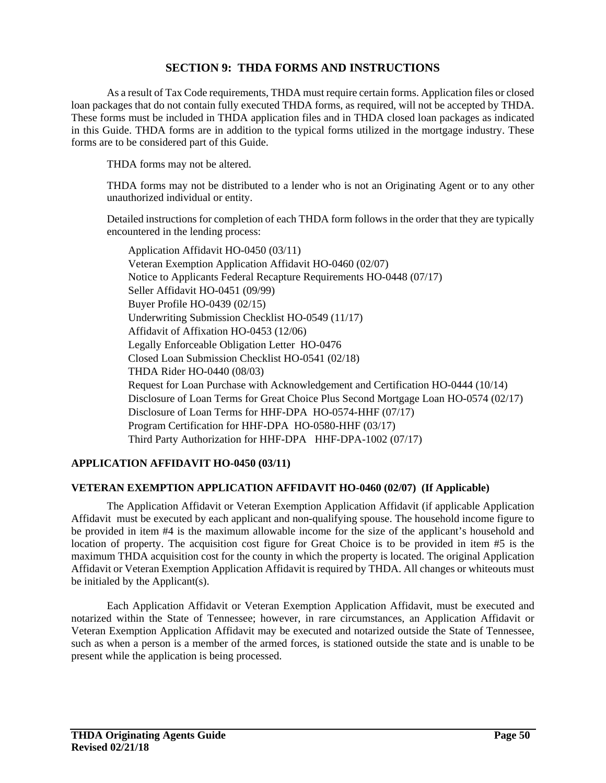## **SECTION 9: THDA FORMS AND INSTRUCTIONS**

As a result of Tax Code requirements, THDA must require certain forms. Application files or closed loan packages that do not contain fully executed THDA forms, as required, will not be accepted by THDA. These forms must be included in THDA application files and in THDA closed loan packages as indicated in this Guide. THDA forms are in addition to the typical forms utilized in the mortgage industry. These forms are to be considered part of this Guide.

THDA forms may not be altered.

THDA forms may not be distributed to a lender who is not an Originating Agent or to any other unauthorized individual or entity.

Detailed instructions for completion of each THDA form follows in the order that they are typically encountered in the lending process:

Application Affidavit HO-0450 (03/11) Veteran Exemption Application Affidavit HO-0460 (02/07) Notice to Applicants Federal Recapture Requirements HO-0448 (07/17) Seller Affidavit HO-0451 (09/99) Buyer Profile HO-0439 (02/15) Underwriting Submission Checklist HO-0549 (11/17) Affidavit of Affixation HO-0453 (12/06) Legally Enforceable Obligation Letter HO-0476 Closed Loan Submission Checklist HO-0541 (02/18) THDA Rider HO-0440 (08/03) Request for Loan Purchase with Acknowledgement and Certification HO-0444 (10/14) Disclosure of Loan Terms for Great Choice Plus Second Mortgage Loan HO-0574 (02/17) Disclosure of Loan Terms for HHF-DPA HO-0574-HHF (07/17) Program Certification for HHF-DPA HO-0580-HHF (03/17) Third Party Authorization for HHF-DPA HHF-DPA-1002 (07/17)

## **APPLICATION AFFIDAVIT HO-0450 (03/11)**

#### **VETERAN EXEMPTION APPLICATION AFFIDAVIT HO-0460 (02/07) (If Applicable)**

The Application Affidavit or Veteran Exemption Application Affidavit (if applicable Application Affidavit must be executed by each applicant and non-qualifying spouse. The household income figure to be provided in item #4 is the maximum allowable income for the size of the applicant's household and location of property. The acquisition cost figure for Great Choice is to be provided in item #5 is the maximum THDA acquisition cost for the county in which the property is located. The original Application Affidavit or Veteran Exemption Application Affidavit is required by THDA. All changes or whiteouts must be initialed by the Applicant(s).

Each Application Affidavit or Veteran Exemption Application Affidavit, must be executed and notarized within the State of Tennessee; however, in rare circumstances, an Application Affidavit or Veteran Exemption Application Affidavit may be executed and notarized outside the State of Tennessee, such as when a person is a member of the armed forces, is stationed outside the state and is unable to be present while the application is being processed.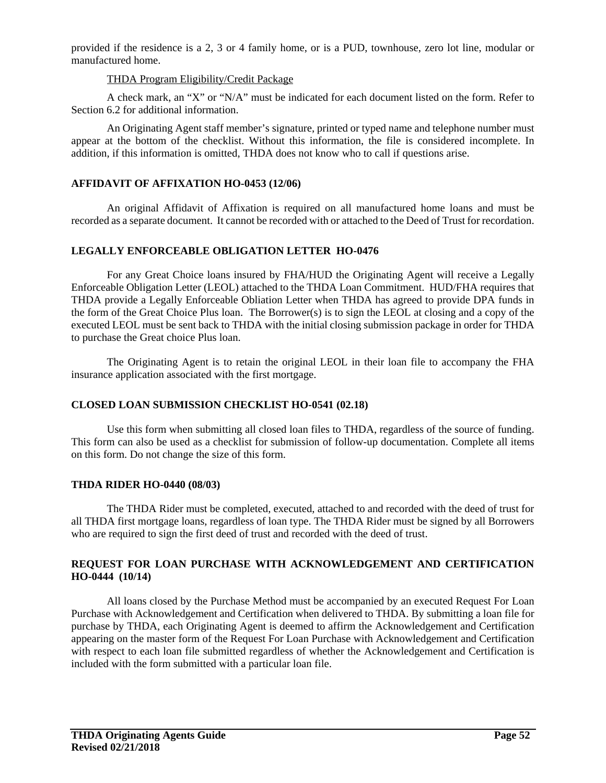provided if the residence is a 2, 3 or 4 family home, or is a PUD, townhouse, zero lot line, modular or manufactured home.

#### THDA Program Eligibility/Credit Package

A check mark, an "X" or "N/A" must be indicated for each document listed on the form. Refer to Section 6.2 for additional information.

An Originating Agent staff member's signature, printed or typed name and telephone number must appear at the bottom of the checklist. Without this information, the file is considered incomplete. In addition, if this information is omitted, THDA does not know who to call if questions arise.

## **AFFIDAVIT OF AFFIXATION HO-0453 (12/06)**

An original Affidavit of Affixation is required on all manufactured home loans and must be recorded as a separate document. It cannot be recorded with or attached to the Deed of Trust for recordation.

## **LEGALLY ENFORCEABLE OBLIGATION LETTER HO-0476**

For any Great Choice loans insured by FHA/HUD the Originating Agent will receive a Legally Enforceable Obligation Letter (LEOL) attached to the THDA Loan Commitment. HUD/FHA requires that THDA provide a Legally Enforceable Obliation Letter when THDA has agreed to provide DPA funds in the form of the Great Choice Plus loan. The Borrower(s) is to sign the LEOL at closing and a copy of the executed LEOL must be sent back to THDA with the initial closing submission package in order for THDA to purchase the Great choice Plus loan.

The Originating Agent is to retain the original LEOL in their loan file to accompany the FHA insurance application associated with the first mortgage.

# **CLOSED LOAN SUBMISSION CHECKLIST HO-0541 (02.18)**

Use this form when submitting all closed loan files to THDA, regardless of the source of funding. This form can also be used as a checklist for submission of follow-up documentation. Complete all items on this form. Do not change the size of this form.

## **THDA RIDER HO-0440 (08/03)**

The THDA Rider must be completed, executed, attached to and recorded with the deed of trust for all THDA first mortgage loans, regardless of loan type. The THDA Rider must be signed by all Borrowers who are required to sign the first deed of trust and recorded with the deed of trust.

## **REQUEST FOR LOAN PURCHASE WITH ACKNOWLEDGEMENT AND CERTIFICATION HO-0444 (10/14)**

All loans closed by the Purchase Method must be accompanied by an executed Request For Loan Purchase with Acknowledgement and Certification when delivered to THDA. By submitting a loan file for purchase by THDA, each Originating Agent is deemed to affirm the Acknowledgement and Certification appearing on the master form of the Request For Loan Purchase with Acknowledgement and Certification with respect to each loan file submitted regardless of whether the Acknowledgement and Certification is included with the form submitted with a particular loan file.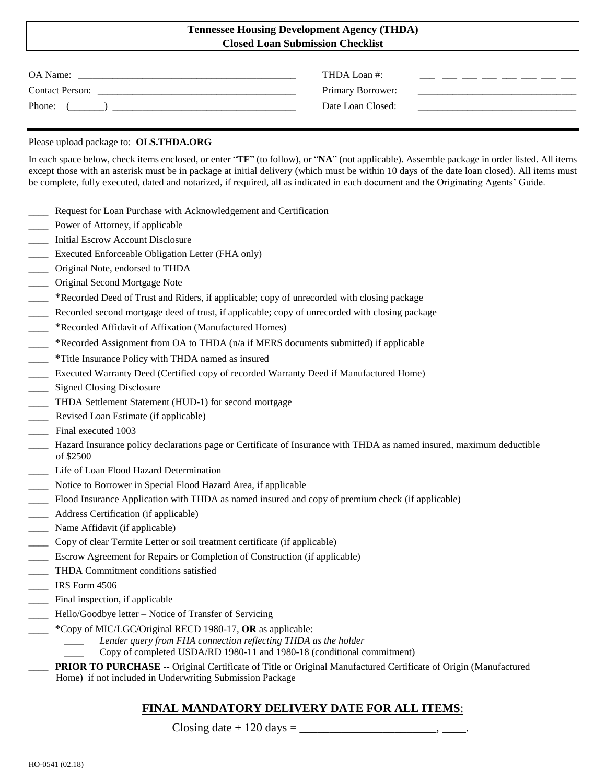#### **Tennessee Housing Development Agency (THDA) Closed Loan Submission Checklist**

| OA Name:               | THDA Loan #:      |  |
|------------------------|-------------------|--|
| <b>Contact Person:</b> | Primary Borrower: |  |
| Phone:                 | Date Loan Closed: |  |

#### Please upload package to: **OLS.THDA.ORG**

In each space below, check items enclosed, or enter "**TF**" (to follow), or "**NA**" (not applicable). Assemble package in order listed. All items except those with an asterisk must be in package at initial delivery (which must be within 10 days of the date loan closed). All items must be complete, fully executed, dated and notarized, if required, all as indicated in each document and the Originating Agents' Guide.

- Request for Loan Purchase with Acknowledgement and Certification
- Power of Attorney, if applicable
- \_\_\_\_ Initial Escrow Account Disclosure
- \_\_\_\_ Executed Enforceable Obligation Letter (FHA only)
- \_\_\_\_ Original Note, endorsed to THDA
- \_\_\_\_ Original Second Mortgage Note
- \_\_\_\_ \*Recorded Deed of Trust and Riders, if applicable; copy of unrecorded with closing package
- \_\_\_\_ Recorded second mortgage deed of trust, if applicable; copy of unrecorded with closing package
- \_\_\_\_ \*Recorded Affidavit of Affixation (Manufactured Homes)
- \_\_\_\_ \*Recorded Assignment from OA to THDA (n/a if MERS documents submitted) if applicable
- \_\_\_\_ \*Title Insurance Policy with THDA named as insured
- \_\_\_\_ Executed Warranty Deed (Certified copy of recorded Warranty Deed if Manufactured Home)
- \_\_\_\_ Signed Closing Disclosure
- \_\_\_\_ THDA Settlement Statement (HUD-1) for second mortgage
- \_\_\_\_ Revised Loan Estimate (if applicable)
- Final executed 1003
- \_\_\_\_ Hazard Insurance policy declarations page or Certificate of Insurance with THDA as named insured, maximum deductible of \$2500
- \_\_\_\_ Life of Loan Flood Hazard Determination
- Notice to Borrower in Special Flood Hazard Area, if applicable
- \_\_\_\_ Flood Insurance Application with THDA as named insured and copy of premium check (if applicable)
- \_\_\_\_ Address Certification (if applicable)
- \_\_\_\_ Name Affidavit (if applicable)
- \_\_\_\_ Copy of clear Termite Letter or soil treatment certificate (if applicable)
- \_\_\_\_ Escrow Agreement for Repairs or Completion of Construction (if applicable)
- \_\_\_\_ THDA Commitment conditions satisfied
- \_\_\_\_ IRS Form 4506
- Final inspection, if applicable
- \_\_\_\_ Hello/Goodbye letter Notice of Transfer of Servicing
- \_\_\_\_ \*Copy of MIC/LGC/Original RECD 1980-17, **OR** as applicable:
	- *\_\_\_\_ Lender query from FHA connection reflecting THDA as the holder*
	- \_\_\_\_ Copy of completed USDA/RD 1980-11 and 1980-18 (conditional commitment)
	- \_\_\_\_ **PRIOR TO PURCHASE** -- Original Certificate of Title or Original Manufactured Certificate of Origin (Manufactured Home) if not included in Underwriting Submission Package

# **FINAL MANDATORY DELIVERY DATE FOR ALL ITEMS**:

Closing date  $+$  120 days  $=$  \_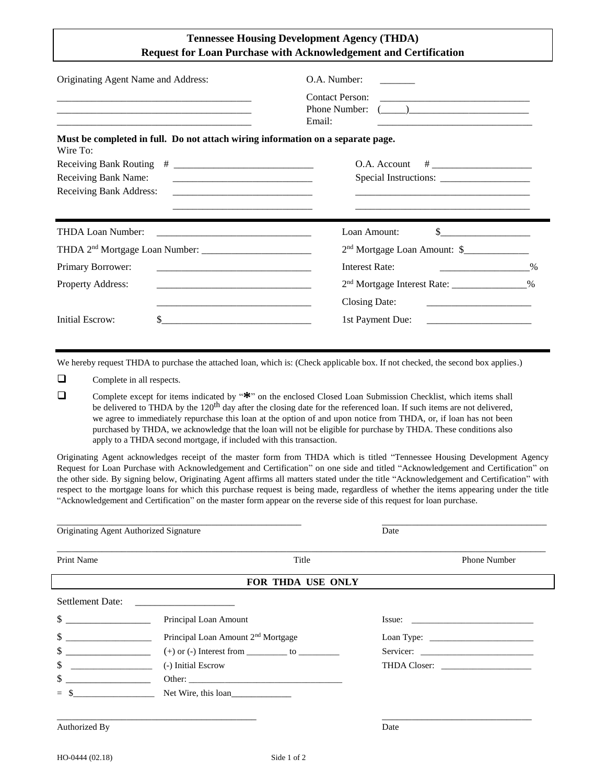| <b>Tennessee Housing Development Agency (THDA)</b>                      |
|-------------------------------------------------------------------------|
| <b>Request for Loan Purchase with Acknowledgement and Certification</b> |

| Originating Agent Name and Address:                                                                                                                                                                                                                                                                                                 | O.A. Number:                                                                                                                              |  |
|-------------------------------------------------------------------------------------------------------------------------------------------------------------------------------------------------------------------------------------------------------------------------------------------------------------------------------------|-------------------------------------------------------------------------------------------------------------------------------------------|--|
| the control of the control of the control of the control of the control of the control of the control of the control of the control of the control of the control of the control of the control of the control of the control<br>and the state of the state of the state of the state of the state of the state of the state of the | Contact Person:<br>Email:                                                                                                                 |  |
| Must be completed in full. Do not attach wiring information on a separate page.<br>Wire To:                                                                                                                                                                                                                                         |                                                                                                                                           |  |
|                                                                                                                                                                                                                                                                                                                                     | O.A. Account                                                                                                                              |  |
| Receiving Bank Name:                                                                                                                                                                                                                                                                                                                |                                                                                                                                           |  |
| Receiving Bank Address:                                                                                                                                                                                                                                                                                                             |                                                                                                                                           |  |
|                                                                                                                                                                                                                                                                                                                                     |                                                                                                                                           |  |
| <b>THDA Loan Number:</b>                                                                                                                                                                                                                                                                                                            | Loan Amount:<br>$\begin{array}{c c c c c c} \hline \text{S} & \text{S} & \text{S} & \text{S} & \text{S} & \text{S} \\ \hline \end{array}$ |  |
|                                                                                                                                                                                                                                                                                                                                     | 2 <sup>nd</sup> Mortgage Loan Amount: \$_______________                                                                                   |  |
| Primary Borrower:                                                                                                                                                                                                                                                                                                                   | <b>Interest Rate:</b><br>$\%$<br>the contract of the contract of the contract of                                                          |  |
| Property Address:                                                                                                                                                                                                                                                                                                                   | 2 <sup>nd</sup> Mortgage Interest Rate: ________________%                                                                                 |  |
|                                                                                                                                                                                                                                                                                                                                     | Closing Date:<br><u> 1989 - Johann John Stone, mars et al.</u>                                                                            |  |
| <b>Initial Escrow:</b>                                                                                                                                                                                                                                                                                                              | 1st Payment Due:                                                                                                                          |  |

We hereby request THDA to purchase the attached loan, which is: (Check applicable box. If not checked, the second box applies.)

**Q** Complete in all respects.

 Complete except for items indicated by "**\***" on the enclosed Closed Loan Submission Checklist, which items shall be delivered to THDA by the 120<sup>th</sup> day after the closing date for the referenced loan. If such items are not delivered, we agree to immediately repurchase this loan at the option of and upon notice from THDA, or, if loan has not been purchased by THDA, we acknowledge that the loan will not be eligible for purchase by THDA. These conditions also apply to a THDA second mortgage, if included with this transaction.

Originating Agent acknowledges receipt of the master form from THDA which is titled "Tennessee Housing Development Agency Request for Loan Purchase with Acknowledgement and Certification" on one side and titled "Acknowledgement and Certification" on the other side. By signing below, Originating Agent affirms all matters stated under the title "Acknowledgement and Certification" with respect to the mortgage loans for which this purchase request is being made, regardless of whether the items appearing under the title "Acknowledgement and Certification" on the master form appear on the reverse side of this request for loan purchase.

| Originating Agent Authorized Signature |                                                    | Date |                     |  |  |  |
|----------------------------------------|----------------------------------------------------|------|---------------------|--|--|--|
| Print Name                             | Title                                              |      | <b>Phone Number</b> |  |  |  |
| FOR THDA USE ONLY                      |                                                    |      |                     |  |  |  |
| Settlement Date:                       | <u> 1980 - John Stein, Amerikaansk politiker (</u> |      |                     |  |  |  |
| \$                                     | Principal Loan Amount                              |      | Issue:              |  |  |  |
| \$                                     | Principal Loan Amount 2 <sup>nd</sup> Mortgage     |      |                     |  |  |  |
| \$                                     |                                                    |      |                     |  |  |  |
| \$                                     | (-) Initial Escrow                                 |      |                     |  |  |  |
| \$                                     |                                                    |      |                     |  |  |  |
| $\sim$<br>$=$                          | Net Wire, this loan                                |      |                     |  |  |  |
|                                        |                                                    |      |                     |  |  |  |
| Authorized By                          |                                                    | Date |                     |  |  |  |